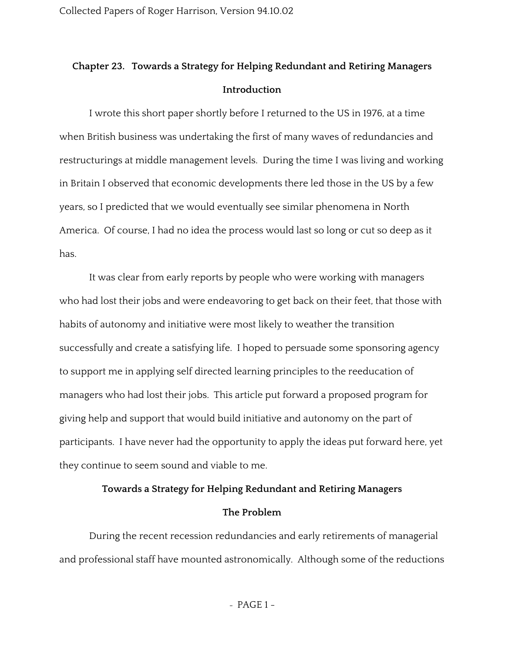# **Chapter 23. Towards a Strategy for Helping Redundant and Retiring Managers Introduction**

I wrote this short paper shortly before I returned to the US in 1976, at a time when British business was undertaking the first of many waves of redundancies and restructurings at middle management levels. During the time I was living and working in Britain I observed that economic developments there led those in the US by a few years, so I predicted that we would eventually see similar phenomena in North America. Of course, I had no idea the process would last so long or cut so deep as it has.

It was clear from early reports by people who were working with managers who had lost their jobs and were endeavoring to get back on their feet, that those with habits of autonomy and initiative were most likely to weather the transition successfully and create a satisfying life. I hoped to persuade some sponsoring agency to support me in applying self directed learning principles to the reeducation of managers who had lost their jobs. This article put forward a proposed program for giving help and support that would build initiative and autonomy on the part of participants. I have never had the opportunity to apply the ideas put forward here, yet they continue to seem sound and viable to me.

# **Towards a Strategy for Helping Redundant and Retiring Managers The Problem**

During the recent recession redundancies and early retirements of managerial and professional staff have mounted astronomically. Although some of the reductions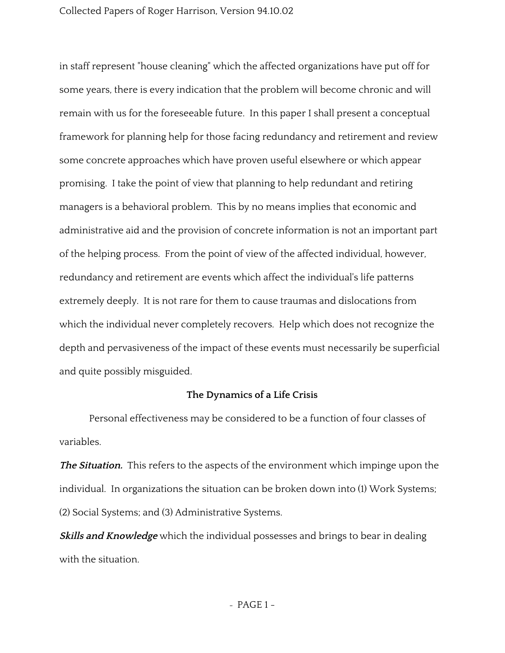in staff represent "house cleaning" which the affected organizations have put off for some years, there is every indication that the problem will become chronic and will remain with us for the foreseeable future. In this paper I shall present a conceptual framework for planning help for those facing redundancy and retirement and review some concrete approaches which have proven useful elsewhere or which appear promising. I take the point of view that planning to help redundant and retiring managers is a behavioral problem. This by no means implies that economic and administrative aid and the provision of concrete information is not an important part of the helping process. From the point of view of the affected individual, however, redundancy and retirement are events which affect the individual's life patterns extremely deeply. It is not rare for them to cause traumas and dislocations from which the individual never completely recovers. Help which does not recognize the depth and pervasiveness of the impact of these events must necessarily be superficial and quite possibly misguided.

#### **The Dynamics of a Life Crisis**

Personal effectiveness may be considered to be a function of four classes of variables.

**The Situation.** This refers to the aspects of the environment which impinge upon the individual. In organizations the situation can be broken down into (1) Work Systems; (2) Social Systems; and (3) Administrative Systems.

**Skills and Knowledge** which the individual possesses and brings to bear in dealing with the situation.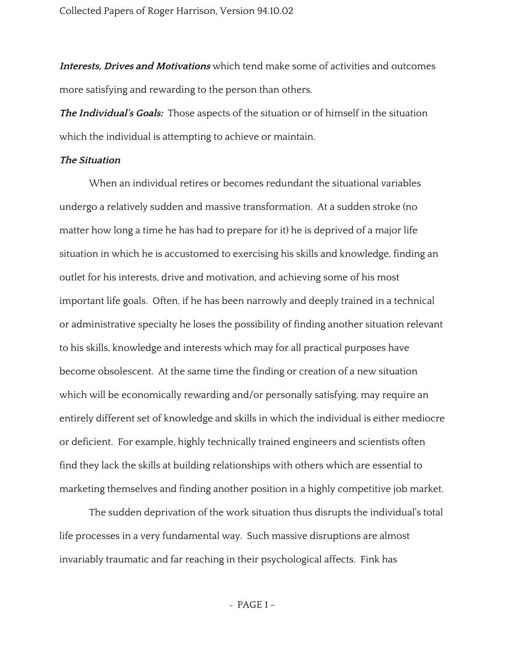**Interests, Drives and Motivations**which tend make some of activities and outcomes more satisfying and rewarding to the person than others.

**The Individual's Goals:** Those aspects of the situation or of himself in the situation which the individual is attempting to achieve or maintain.

## **The Situation**

When an individual retires or becomes redundant the situational variables undergo a relatively sudden and massive transformation. At a sudden stroke (no matter how long a time he has had to prepare for it) he is deprived of a major life situation in which he is accustomed to exercising his skills and knowledge, finding an outlet for his interests, drive and motivation, and achieving some of his most important life goals. Often, if he has been narrowly and deeply trained in a technical or administrative specialty he loses the possibility of finding another situation relevant to his skills, knowledge and interests which may for all practical purposes have become obsolescent. At the same time the finding or creation of a new situation which will be economically rewarding and/or personally satisfying, may require an entirely different set of knowledge and skills in which the individual is either mediocre or deficient. For example, highly technically trained engineers and scientists often find they lack the skills at building relationships with others which are essential to marketing themselves and finding another position in a highly competitive job market.

The sudden deprivation of the work situation thus disrupts the individual's total life processes in a very fundamental way. Such massive disruptions are almost invariably traumatic and far reaching in their psychological affects. Fink has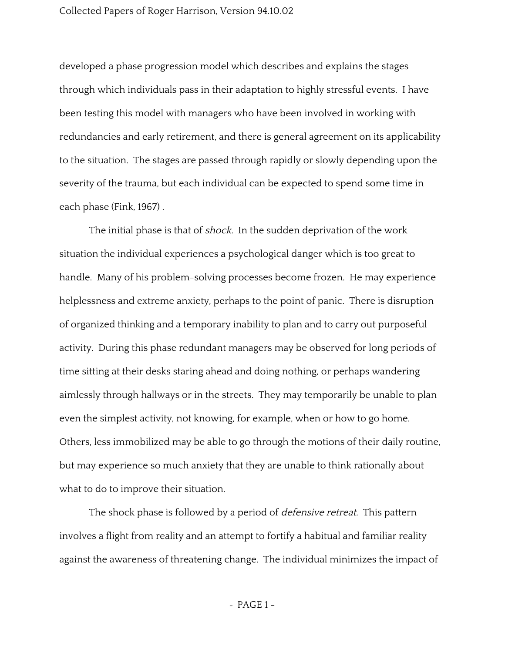developed a phase progression model which describes and explains the stages through which individuals pass in their adaptation to highly stressful events. I have been testing this model with managers who have been involved in working with redundancies and early retirement, and there is general agreement on its applicability to the situation. The stages are passed through rapidly or slowly depending upon the severity of the trauma, but each individual can be expected to spend some time in each phase (Fink, 1967) .

The initial phase is that of *shock*. In the sudden deprivation of the work situation the individual experiences a psychological danger which is too great to handle. Many of his problem-solving processes become frozen. He may experience helplessness and extreme anxiety, perhaps to the point of panic. There is disruption of organized thinking and a temporary inability to plan and to carry out purposeful activity. During this phase redundant managers may be observed for long periods of time sitting at their desks staring ahead and doing nothing, or perhaps wandering aimlessly through hallways or in the streets. They may temporarily be unable to plan even the simplest activity, not knowing, for example, when or how to go home. Others, less immobilized may be able to go through the motions of their daily routine, but may experience so much anxiety that they are unable to think rationally about what to do to improve their situation.

The shock phase is followed by a period of *defensive retreat*. This pattern involves a flight from reality and an attempt to fortify a habitual and familiar reality against the awareness of threatening change. The individual minimizes the impact of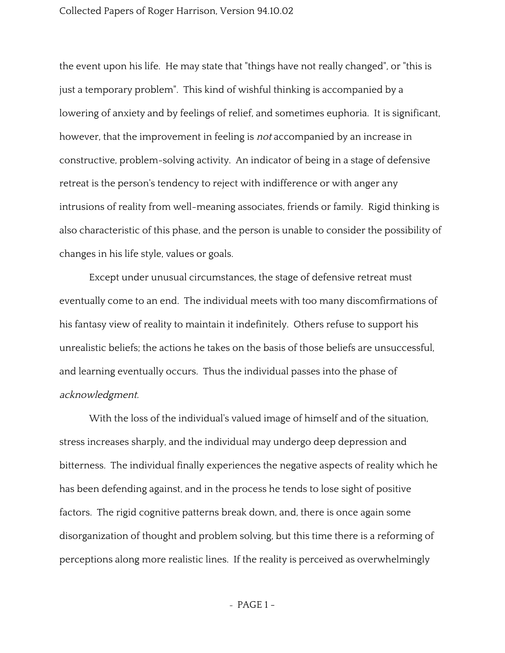the event upon his life. He may state that "things have not really changed", or "this is just a temporary problem". This kind of wishful thinking is accompanied by a lowering of anxiety and by feelings of relief, and sometimes euphoria. It is significant, however, that the improvement in feeling is not accompanied by an increase in constructive, problem-solving activity. An indicator of being in a stage of defensive retreat is the person's tendency to reject with indifference or with anger any intrusions of reality from well-meaning associates, friends or family. Rigid thinking is also characteristic of this phase, and the person is unable to consider the possibility of changes in his life style, values or goals.

Except under unusual circumstances, the stage of defensive retreat must eventually come to an end. The individual meets with too many discomfirmations of his fantasy view of reality to maintain it indefinitely. Others refuse to support his unrealistic beliefs; the actions he takes on the basis of those beliefs are unsuccessful, and learning eventually occurs. Thus the individual passes into the phase of acknowledgment.

With the loss of the individual's valued image of himself and of the situation, stress increases sharply, and the individual may undergo deep depression and bitterness. The individual finally experiences the negative aspects of reality which he has been defending against, and in the process he tends to lose sight of positive factors. The rigid cognitive patterns break down, and, there is once again some disorganization of thought and problem solving, but this time there is a reforming of perceptions along more realistic lines. If the reality is perceived as overwhelmingly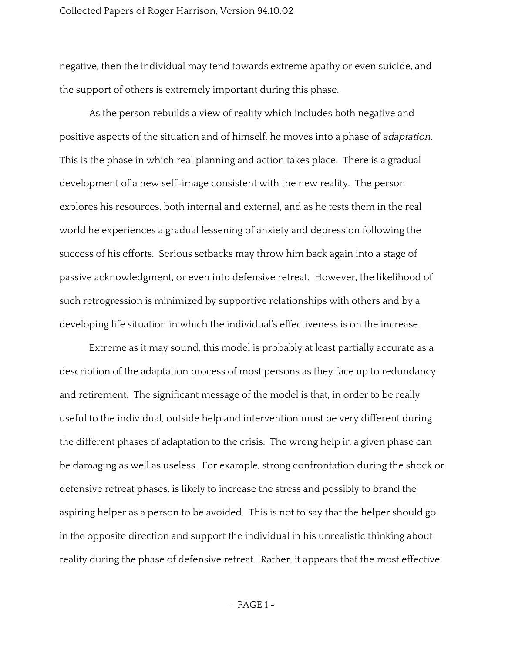negative, then the individual may tend towards extreme apathy or even suicide, and the support of others is extremely important during this phase.

As the person rebuilds a view of reality which includes both negative and positive aspects of the situation and of himself, he moves into a phase of adaptation. This is the phase in which real planning and action takes place. There is a gradual development of a new self-image consistent with the new reality. The person explores his resources, both internal and external, and as he tests them in the real world he experiences a gradual lessening of anxiety and depression following the success of his efforts. Serious setbacks may throw him back again into a stage of passive acknowledgment, or even into defensive retreat. However, the likelihood of such retrogression is minimized by supportive relationships with others and by a developing life situation in which the individual's effectiveness is on the increase.

Extreme as it may sound, this model is probably at least partially accurate as a description of the adaptation process of most persons as they face up to redundancy and retirement. The significant message of the model is that, in order to be really useful to the individual, outside help and intervention must be very different during the different phases of adaptation to the crisis. The wrong help in a given phase can be damaging as well as useless. For example, strong confrontation during the shock or defensive retreat phases, is likely to increase the stress and possibly to brand the aspiring helper as a person to be avoided. This is not to say that the helper should go in the opposite direction and support the individual in his unrealistic thinking about reality during the phase of defensive retreat. Rather, it appears that the most effective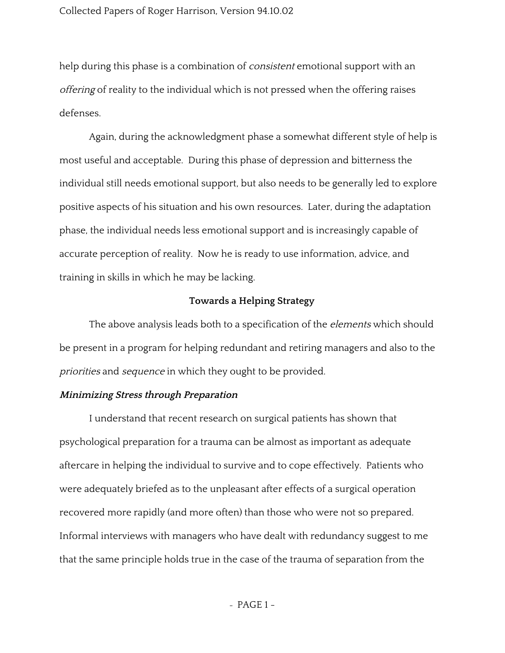help during this phase is a combination of *consistent* emotional support with an offering of reality to the individual which is not pressed when the offering raises defenses.

Again, during the acknowledgment phase a somewhat different style of help is most useful and acceptable. During this phase of depression and bitterness the individual still needs emotional support, but also needs to be generally led to explore positive aspects of his situation and his own resources. Later, during the adaptation phase, the individual needs less emotional support and is increasingly capable of accurate perception of reality. Now he is ready to use information, advice, and training in skills in which he may be lacking.

#### **Towards a Helping Strategy**

The above analysis leads both to a specification of the *elements* which should be present in a program for helping redundant and retiring managers and also to the priorities and sequence in which they ought to be provided.

#### **Minimizing Stress through Preparation**

I understand that recent research on surgical patients has shown that psychological preparation for a trauma can be almost as important as adequate aftercare in helping the individual to survive and to cope effectively. Patients who were adequately briefed as to the unpleasant after effects of a surgical operation recovered more rapidly (and more often) than those who were not so prepared. Informal interviews with managers who have dealt with redundancy suggest to me that the same principle holds true in the case of the trauma of separation from the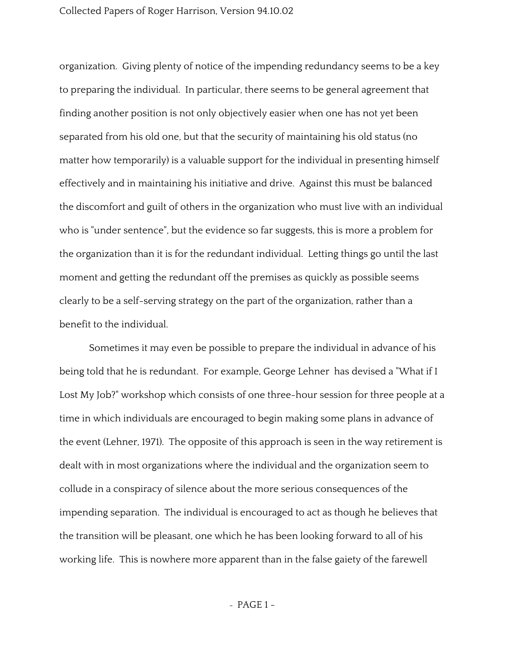organization. Giving plenty of notice of the impending redundancy seems to be a key to preparing the individual. In particular, there seems to be general agreement that finding another position is not only objectively easier when one has not yet been separated from his old one, but that the security of maintaining his old status (no matter how temporarily) is a valuable support for the individual in presenting himself effectively and in maintaining his initiative and drive. Against this must be balanced the discomfort and guilt of others in the organization who must live with an individual who is "under sentence", but the evidence so far suggests, this is more a problem for the organization than it is for the redundant individual. Letting things go until the last moment and getting the redundant off the premises as quickly as possible seems clearly to be a self-serving strategy on the part of the organization, rather than a benefit to the individual.

Sometimes it may even be possible to prepare the individual in advance of his being told that he is redundant. For example, George Lehner has devised a "What if I Lost My Job?" workshop which consists of one three-hour session for three people at a time in which individuals are encouraged to begin making some plans in advance of the event (Lehner, 1971). The opposite of this approach is seen in the way retirement is dealt with in most organizations where the individual and the organization seem to collude in a conspiracy of silence about the more serious consequences of the impending separation. The individual is encouraged to act as though he believes that the transition will be pleasant, one which he has been looking forward to all of his working life. This is nowhere more apparent than in the false gaiety of the farewell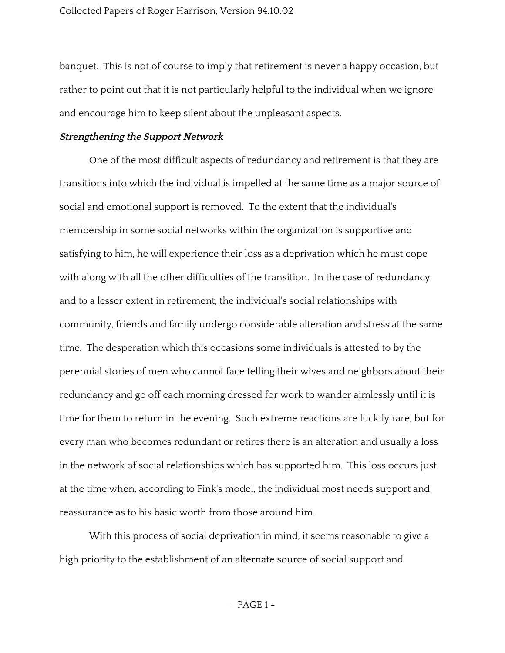banquet. This is not of course to imply that retirement is never a happy occasion, but rather to point out that it is not particularly helpful to the individual when we ignore and encourage him to keep silent about the unpleasant aspects.

#### **Strengthening the Support Network**

One of the most difficult aspects of redundancy and retirement is that they are transitions into which the individual is impelled at the same time as a major source of social and emotional support is removed. To the extent that the individual's membership in some social networks within the organization is supportive and satisfying to him, he will experience their loss as a deprivation which he must cope with along with all the other difficulties of the transition. In the case of redundancy, and to a lesser extent in retirement, the individual's social relationships with community, friends and family undergo considerable alteration and stress at the same time. The desperation which this occasions some individuals is attested to by the perennial stories of men who cannot face telling their wives and neighbors about their redundancy and go off each morning dressed for work to wander aimlessly until it is time for them to return in the evening. Such extreme reactions are luckily rare, but for every man who becomes redundant or retires there is an alteration and usually a loss in the network of social relationships which has supported him. This loss occurs just at the time when, according to Fink's model, the individual most needs support and reassurance as to his basic worth from those around him.

With this process of social deprivation in mind, it seems reasonable to give a high priority to the establishment of an alternate source of social support and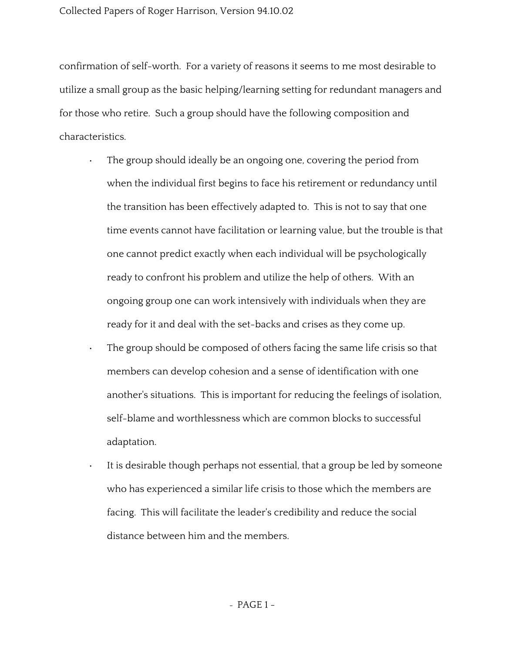confirmation of self-worth. For a variety of reasons it seems to me most desirable to utilize a small group as the basic helping/learning setting for redundant managers and for those who retire. Such a group should have the following composition and characteristics.

- The group should ideally be an ongoing one, covering the period from when the individual first begins to face his retirement or redundancy until the transition has been effectively adapted to. This is not to say that one time events cannot have facilitation or learning value, but the trouble is that one cannot predict exactly when each individual will be psychologically ready to confront his problem and utilize the help of others. With an ongoing group one can work intensively with individuals when they are ready for it and deal with the set-backs and crises as they come up. The group should be composed of others facing the same life crisis so that
- members can develop cohesion and a sense of identification with one another's situations. This is important for reducing the feelings of isolation, self-blame and worthlessness which are common blocks to successful adaptation.
- It is desirable though perhaps not essential, that a group be led by someone who has experienced a similar life crisis to those which the members are facing. This will facilitate the leader's credibility and reduce the social distance between him and the members.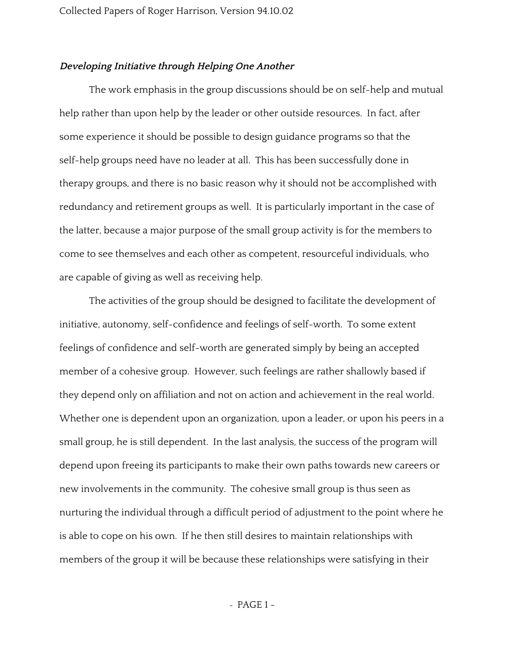#### **Developing Initiative through Helping One Another**

The work emphasis in the group discussions should be on self-help and mutual help rather than upon help by the leader or other outside resources. In fact, after some experience it should be possible to design guidance programs so that the self-help groups need have no leader at all. This has been successfully done in therapy groups, and there is no basic reason why it should not be accomplished with redundancy and retirement groups as well. It is particularly important in the case of the latter, because a major purpose of the small group activity is for the members to come to see themselves and each other as competent, resourceful individuals, who are capable of giving as well as receiving help.

The activities of the group should be designed to facilitate the development of initiative, autonomy, self-confidence and feelings of self-worth. To some extent feelings of confidence and self-worth are generated simply by being an accepted member of a cohesive group. However, such feelings are rather shallowly based if they depend only on affiliation and not on action and achievement in the real world. Whether one is dependent upon an organization, upon a leader, or upon his peers in a small group, he is still dependent. In the last analysis, the success of the program will depend upon freeing its participants to make their own paths towards new careers or new involvements in the community. The cohesive small group is thus seen as nurturing the individual through a difficult period of adjustment to the point where he is able to cope on his own. If he then still desires to maintain relationships with members of the group it will be because these relationships were satisfying in their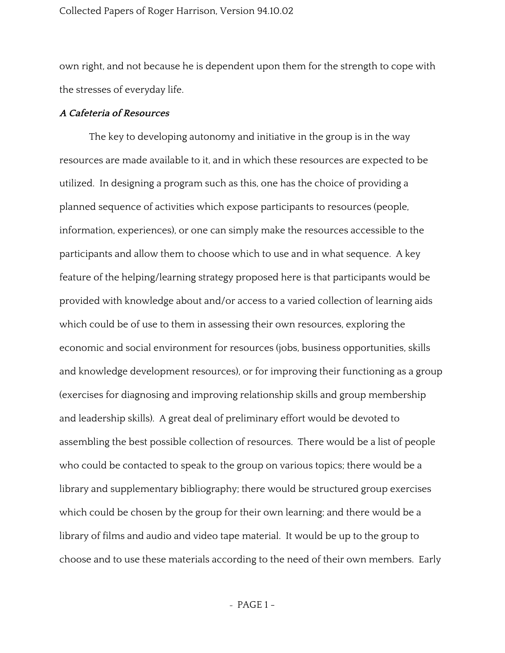own right, and not because he is dependent upon them for the strength to cope with the stresses of everyday life.

#### **A Cafeteria of Resources**

The key to developing autonomy and initiative in the group is in the way resources are made available to it, and in which these resources are expected to be utilized. In designing a program such as this, one has the choice of providing a planned sequence of activities which expose participants to resources (people, information, experiences), or one can simply make the resources accessible to the participants and allow them to choose which to use and in what sequence. A key feature of the helping/learning strategy proposed here is that participants would be provided with knowledge about and/or access to a varied collection of learning aids which could be of use to them in assessing their own resources, exploring the economic and social environment for resources (jobs, business opportunities, skills and knowledge development resources), or for improving their functioning as a group (exercises for diagnosing and improving relationship skills and group membership and leadership skills). A great deal of preliminary effort would be devoted to assembling the best possible collection of resources. There would be a list of people who could be contacted to speak to the group on various topics; there would be a library and supplementary bibliography; there would be structured group exercises which could be chosen by the group for their own learning; and there would be a library of films and audio and video tape material. It would be up to the group to choose and to use these materials according to the need of their own members. Early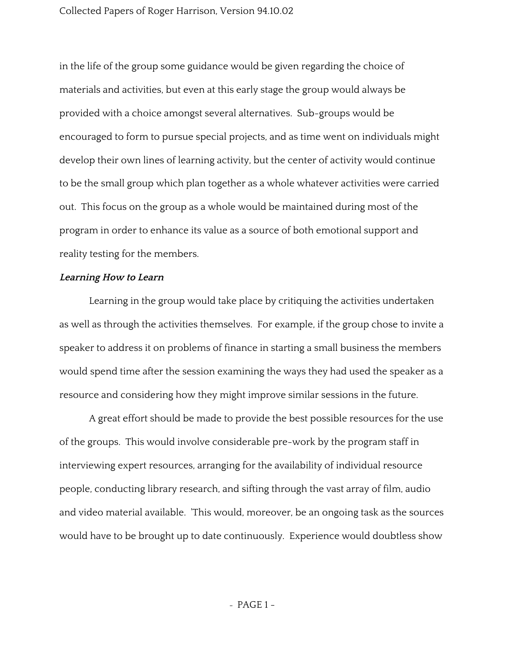in the life of the group some guidance would be given regarding the choice of materials and activities, but even at this early stage the group would always be provided with a choice amongst several alternatives. Sub-groups would be encouraged to form to pursue special projects, and as time went on individuals might develop their own lines of learning activity, but the center of activity would continue to be the small group which plan together as a whole whatever activities were carried out. This focus on the group as a whole would be maintained during most of the program in order to enhance its value as a source of both emotional support and reality testing for the members.

#### **Learning How to Learn**

Learning in the group would take place by critiquing the activities undertaken as well as through the activities themselves. For example, if the group chose to invite a speaker to address it on problems of finance in starting a small business the members would spend time after the session examining the ways they had used the speaker as a resource and considering how they might improve similar sessions in the future.

A great effort should be made to provide the best possible resources for the use of the groups. This would involve considerable pre-work by the program staff in interviewing expert resources, arranging for the availability of individual resource people, conducting library research, and sifting through the vast array of film, audio and video material available. 'This would, moreover, be an ongoing task as the sources would have to be brought up to date continuously. Experience would doubtless show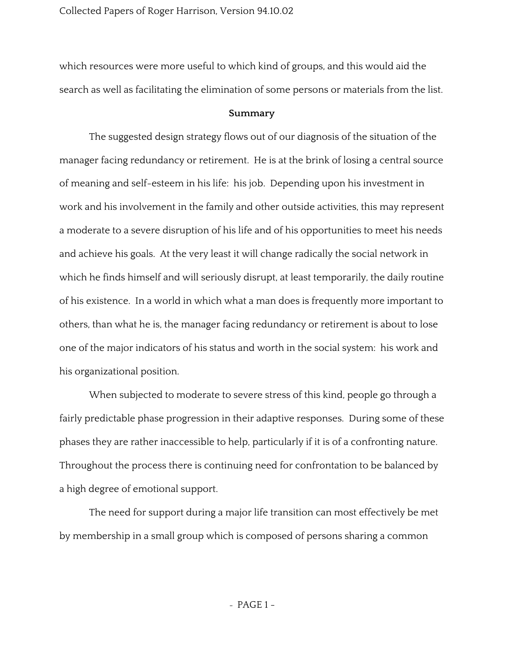which resources were more useful to which kind of groups, and this would aid the search as well as facilitating the elimination of some persons or materials from the list.

#### **Summary**

The suggested design strategy flows out of our diagnosis of the situation of the manager facing redundancy or retirement. He is at the brink of losing a central source of meaning and self-esteem in his life: his job. Depending upon his investment in work and his involvement in the family and other outside activities, this may represent a moderate to a severe disruption of his life and of his opportunities to meet his needs and achieve his goals. At the very least it will change radically the social network in which he finds himself and will seriously disrupt, at least temporarily, the daily routine of his existence. In a world in which what a man does is frequently more important to others, than what he is, the manager facing redundancy or retirement is about to lose one of the major indicators of his status and worth in the social system: his work and his organizational position.

When subjected to moderate to severe stress of this kind, people go through a fairly predictable phase progression in their adaptive responses. During some of these phases they are rather inaccessible to help, particularly if it is of a confronting nature. Throughout the process there is continuing need for confrontation to be balanced by a high degree of emotional support.

The need for support during a major life transition can most effectively be met by membership in a small group which is composed of persons sharing a common